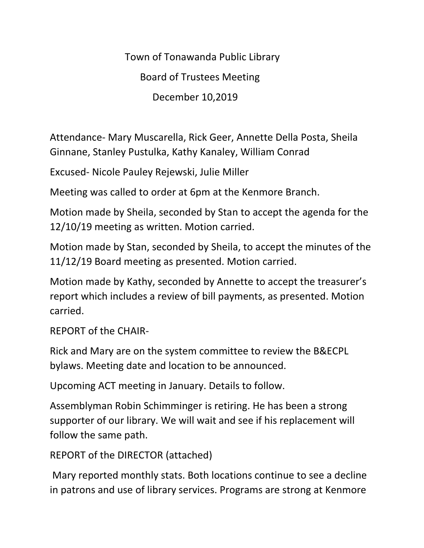Town of Tonawanda Public Library Board of Trustees Meeting December 10,2019

Attendance- Mary Muscarella, Rick Geer, Annette Della Posta, Sheila Ginnane, Stanley Pustulka, Kathy Kanaley, William Conrad

Excused- Nicole Pauley Rejewski, Julie Miller

Meeting was called to order at 6pm at the Kenmore Branch.

Motion made by Sheila, seconded by Stan to accept the agenda for the 12/10/19 meeting as written. Motion carried.

Motion made by Stan, seconded by Sheila, to accept the minutes of the 11/12/19 Board meeting as presented. Motion carried.

Motion made by Kathy, seconded by Annette to accept the treasurer's report which includes a review of bill payments, as presented. Motion carried.

REPORT of the CHAIR-

Rick and Mary are on the system committee to review the B&ECPL bylaws. Meeting date and location to be announced.

Upcoming ACT meeting in January. Details to follow.

Assemblyman Robin Schimminger is retiring. He has been a strong supporter of our library. We will wait and see if his replacement will follow the same path.

REPORT of the DIRECTOR (attached)

Mary reported monthly stats. Both locations continue to see a decline in patrons and use of library services. Programs are strong at Kenmore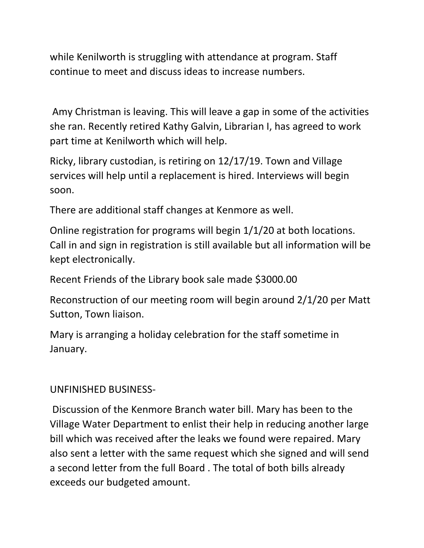while Kenilworth is struggling with attendance at program. Staff continue to meet and discuss ideas to increase numbers.

Amy Christman is leaving. This will leave a gap in some of the activities she ran. Recently retired Kathy Galvin, Librarian I, has agreed to work part time at Kenilworth which will help.

Ricky, library custodian, is retiring on 12/17/19. Town and Village services will help until a replacement is hired. Interviews will begin soon.

There are additional staff changes at Kenmore as well.

Online registration for programs will begin 1/1/20 at both locations. Call in and sign in registration is still available but all information will be kept electronically.

Recent Friends of the Library book sale made \$3000.00

Reconstruction of our meeting room will begin around 2/1/20 per Matt Sutton, Town liaison.

Mary is arranging a holiday celebration for the staff sometime in January.

# UNFINISHED BUSINESS-

Discussion of the Kenmore Branch water bill. Mary has been to the Village Water Department to enlist their help in reducing another large bill which was received after the leaks we found were repaired. Mary also sent a letter with the same request which she signed and will send a second letter from the full Board . The total of both bills already exceeds our budgeted amount.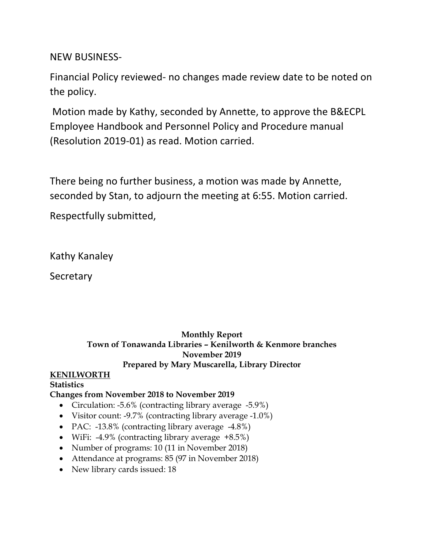# NEW BUSINESS-

Financial Policy reviewed- no changes made review date to be noted on the policy.

Motion made by Kathy, seconded by Annette, to approve the B&ECPL Employee Handbook and Personnel Policy and Procedure manual (Resolution 2019-01) as read. Motion carried.

There being no further business, a motion was made by Annette, seconded by Stan, to adjourn the meeting at 6:55. Motion carried.

Respectfully submitted,

Kathy Kanaley

Secretary

# **Monthly Report Town of Tonawanda Libraries – Kenilworth & Kenmore branches November 2019 Prepared by Mary Muscarella, Library Director**

# **KENILWORTH**

#### **Statistics Changes from November 2018 to November 2019**

- Circulation: -5.6% (contracting library average -5.9%)
- Visitor count: -9.7% (contracting library average -1.0%)
- PAC: -13.8% (contracting library average -4.8%)
- WiFi:  $-4.9\%$  (contracting library average  $+8.5\%$ )
- Number of programs: 10 (11 in November 2018)
- Attendance at programs: 85 (97 in November 2018)
- New library cards issued: 18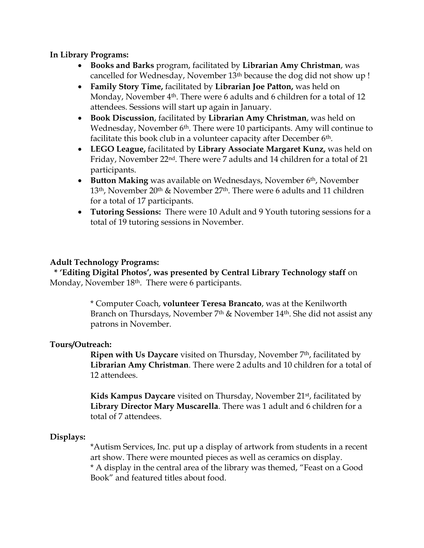#### **In Library Programs:**

- **Books and Barks** program, facilitated by **Librarian Amy Christman**, was cancelled for Wednesday, November 13th because the dog did not show up !
- **Family Story Time,** facilitated by **Librarian Joe Patton,** was held on Monday, November 4<sup>th</sup>. There were 6 adults and 6 children for a total of 12 attendees. Sessions will start up again in January.
- **Book Discussion**, facilitated by **Librarian Amy Christman**, was held on Wednesday, November 6<sup>th</sup>. There were 10 participants. Amy will continue to facilitate this book club in a volunteer capacity after December 6<sup>th</sup>.
- **LEGO League,** facilitated by **Library Associate Margaret Kunz,** was held on Friday, November 22nd. There were 7 adults and 14 children for a total of 21 participants.
- **Button Making** was available on Wednesdays, November 6<sup>th</sup>, November 13th, November 20th & November 27th. There were 6 adults and 11 children for a total of 17 participants.
- **Tutoring Sessions:** There were 10 Adult and 9 Youth tutoring sessions for a total of 19 tutoring sessions in November.

# **Adult Technology Programs:**

 **\* 'Editing Digital Photos', was presented by Central Library Technology staff** on Monday, November 18<sup>th</sup>. There were 6 participants.

> \* Computer Coach, **volunteer Teresa Brancato**, was at the Kenilworth Branch on Thursdays, November 7th & November 14th. She did not assist any patrons in November.

#### **Tours/Outreach:**

**Ripen with Us Daycare** visited on Thursday, November 7<sup>th</sup>, facilitated by **Librarian Amy Christman**. There were 2 adults and 10 children for a total of 12 attendees.

**Kids Kampus Daycare** visited on Thursday, November 21st, facilitated by **Library Director Mary Muscarella**. There was 1 adult and 6 children for a total of 7 attendees.

#### **Displays:**

\*Autism Services, Inc. put up a display of artwork from students in a recent art show. There were mounted pieces as well as ceramics on display. \* A display in the central area of the library was themed, "Feast on a Good Book" and featured titles about food.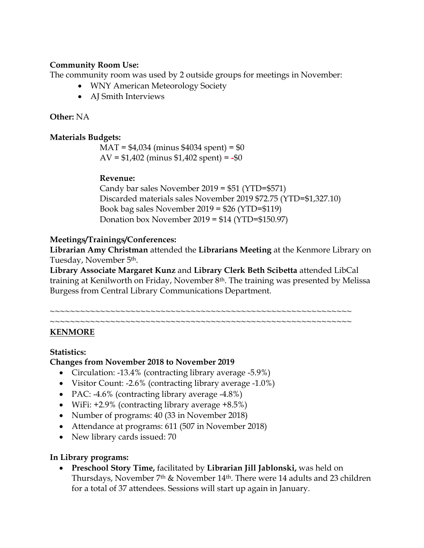### **Community Room Use:**

The community room was used by 2 outside groups for meetings in November:

- WNY American Meteorology Society
- AJ Smith Interviews

#### **Other:** NA

#### **Materials Budgets:**

MAT = \$4,034 (minus \$4034 spent) = \$0 AV = \$1,402 (minus \$1,402 spent) = **-**\$0

### **Revenue:**

Candy bar sales November 2019 = \$51 (YTD=\$571) Discarded materials sales November 2019 \$72.75 (YTD=\$1,327.10) Book bag sales November 2019 = \$26 (YTD=\$119) Donation box November 2019 = \$14 (YTD=\$150.97)

### **Meetings/Trainings/Conferences:**

**Librarian Amy Christman** attended the **Librarians Meeting** at the Kenmore Library on Tuesday, November 5th.

**Library Associate Margaret Kunz** and **Library Clerk Beth Scibetta** attended LibCal training at Kenilworth on Friday, November 8<sup>th</sup>. The training was presented by Melissa Burgess from Central Library Communications Department.

#### ~~~~~~~~~~~~~~~~~~~~~~~~~~~~~~~~~~~~~~~~~~~~~~~~~~~~~~~~~~~~ ~~~~~~~~~~~~~~~~~~~~~~~~~~~~~~~~~~~~~~~~~~~~~~~~~~~~~~~~~~~~

#### **KENMORE**

#### **Statistics:**

#### **Changes from November 2018 to November 2019**

- Circulation: -13.4% (contracting library average -5.9%)
- Visitor Count: -2.6% (contracting library average -1.0%)
- PAC: -4.6% (contracting library average -4.8%)
- WiFi: +2.9% (contracting library average +8.5%)
- Number of programs: 40 (33 in November 2018)
- Attendance at programs: 611 (507 in November 2018)
- New library cards issued: 70

#### **In Library programs:**

 **Preschool Story Time,** facilitated by **Librarian Jill Jablonski,** was held on Thursdays, November 7th & November 14th. There were 14 adults and 23 children for a total of 37 attendees. Sessions will start up again in January.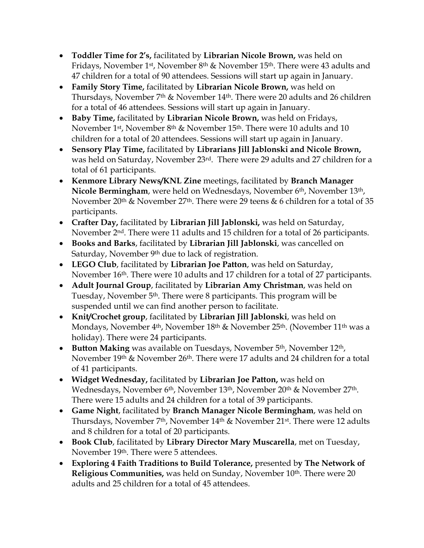- **Toddler Time for 2's,** facilitated by **Librarian Nicole Brown,** was held on Fridays, November 1st, November 8th & November 15th. There were 43 adults and 47 children for a total of 90 attendees. Sessions will start up again in January.
- **Family Story Time,** facilitated by **Librarian Nicole Brown,** was held on Thursdays, November 7th & November 14th. There were 20 adults and 26 children for a total of 46 attendees. Sessions will start up again in January.
- **Baby Time,** facilitated by **Librarian Nicole Brown,** was held on Fridays, November 1st, November 8th & November 15th. There were 10 adults and 10 children for a total of 20 attendees. Sessions will start up again in January.
- **Sensory Play Time,** facilitated by **Librarians Jill Jablonski and Nicole Brown,**  was held on Saturday, November 23rd. There were 29 adults and 27 children for a total of 61 participants.
- **Kenmore Library News/KNL Zine** meetings, facilitated by **Branch Manager Nicole Bermingham**, were held on Wednesdays, November 6th, November 13th, November 20th & November 27th. There were 29 teens & 6 children for a total of 35 participants.
- **Crafter Day,** facilitated by **Librarian Jill Jablonski,** was held on Saturday, November 2nd. There were 11 adults and 15 children for a total of 26 participants.
- **Books and Barks**, facilitated by **Librarian Jill Jablonski**, was cancelled on Saturday, November 9<sup>th</sup> due to lack of registration.
- **LEGO Club**, facilitated by **Librarian Joe Patton**, was held on Saturday, November 16th. There were 10 adults and 17 children for a total of 27 participants.
- **Adult Journal Group**, facilitated by **Librarian Amy Christman**, was held on Tuesday, November 5th. There were 8 participants. This program will be suspended until we can find another person to facilitate.
- **Knit/Crochet group**, facilitated by **Librarian Jill Jablonski**, was held on Mondays, November 4<sup>th</sup>, November 18<sup>th</sup> & November 25<sup>th</sup>. (November 11<sup>th</sup> was a holiday). There were 24 participants.
- **Button Making** was available on Tuesdays, November 5<sup>th</sup>, November 12<sup>th</sup>, November 19<sup>th</sup> & November 26<sup>th</sup>. There were 17 adults and 24 children for a total of 41 participants.
- **Widget Wednesday,** facilitated by **Librarian Joe Patton,** was held on Wednesdays, November 6<sup>th</sup>, November 13<sup>th</sup>, November 20<sup>th</sup> & November 27<sup>th</sup>. There were 15 adults and 24 children for a total of 39 participants.
- **Game Night**, facilitated by **Branch Manager Nicole Bermingham**, was held on Thursdays, November 7<sup>th</sup>, November 14<sup>th</sup> & November 21<sup>st</sup>. There were 12 adults and 8 children for a total of 20 participants.
- **Book Club**, facilitated by **Library Director Mary Muscarella**, met on Tuesday, November 19th. There were 5 attendees.
- **Exploring 4 Faith Traditions to Build Tolerance,** presented b**y The Network of Religious Communities,** was held on Sunday, November 10<sup>th</sup>. There were 20 adults and 25 children for a total of 45 attendees.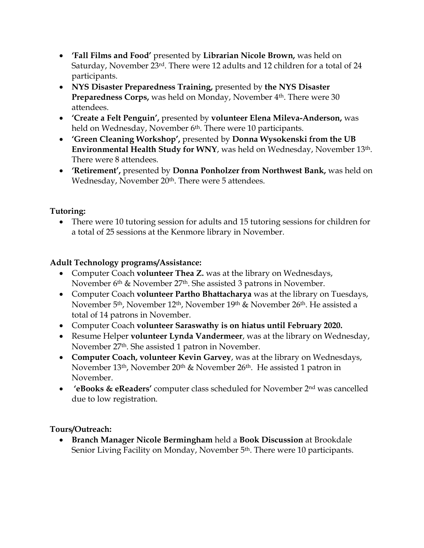- **'Fall Films and Food'** presented by **Librarian Nicole Brown,** was held on Saturday, November 23rd. There were 12 adults and 12 children for a total of 24 participants.
- **NYS Disaster Preparedness Training,** presented by **the NYS Disaster Preparedness Corps, was held on Monday, November 4<sup>th</sup>. There were 30** attendees.
- **'Create a Felt Penguin',** presented by **volunteer Elena Mileva-Anderson,** was held on Wednesday, November 6<sup>th</sup>. There were 10 participants.
- **'Green Cleaning Workshop',** presented by **Donna Wysokenski from the UB Environmental Health Study for WNY**, was held on Wednesday, November 13th. There were 8 attendees.
- **'Retirement',** presented by **Donna Ponholzer from Northwest Bank,** was held on Wednesday, November 20<sup>th</sup>. There were 5 attendees.

# **Tutoring:**

 There were 10 tutoring session for adults and 15 tutoring sessions for children for a total of 25 sessions at the Kenmore library in November.

# **Adult Technology programs/Assistance:**

- Computer Coach **volunteer Thea Z.** was at the library on Wednesdays, November 6th & November 27th. She assisted 3 patrons in November.
- Computer Coach **volunteer Partho Bhattacharya** was at the library on Tuesdays, November 5th, November 12th, November 19th & November 26th. He assisted a total of 14 patrons in November.
- Computer Coach **volunteer Saraswathy is on hiatus until February 2020.**
- Resume Helper **volunteer Lynda Vandermeer**, was at the library on Wednesday, November 27th. She assisted 1 patron in November.
- **Computer Coach, volunteer Kevin Garvey**, was at the library on Wednesdays, November 13<sup>th</sup>, November 20<sup>th</sup> & November 26<sup>th</sup>. He assisted 1 patron in November.
- **'eBooks & eReaders'** computer class scheduled for November 2nd was cancelled due to low registration.

# **Tours/Outreach:**

 **Branch Manager Nicole Bermingham** held a **Book Discussion** at Brookdale Senior Living Facility on Monday, November 5<sup>th</sup>. There were 10 participants.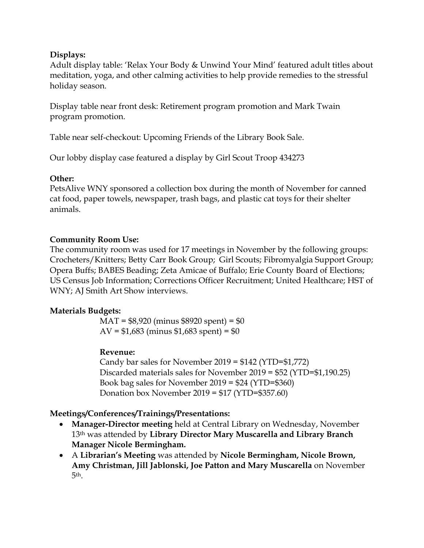### **Displays:**

Adult display table: 'Relax Your Body & Unwind Your Mind' featured adult titles about meditation, yoga, and other calming activities to help provide remedies to the stressful holiday season.

Display table near front desk: Retirement program promotion and Mark Twain program promotion.

Table near self-checkout: Upcoming Friends of the Library Book Sale.

Our lobby display case featured a display by Girl Scout Troop 434273

# **Other:**

PetsAlive WNY sponsored a collection box during the month of November for canned cat food, paper towels, newspaper, trash bags, and plastic cat toys for their shelter animals.

# **Community Room Use:**

The community room was used for 17 meetings in November by the following groups: Crocheters/Knitters; Betty Carr Book Group; Girl Scouts; Fibromyalgia Support Group; Opera Buffs; BABES Beading; Zeta Amicae of Buffalo; Erie County Board of Elections; US Census Job Information; Corrections Officer Recruitment; United Healthcare; HST of WNY; AJ Smith Art Show interviews.

# **Materials Budgets:**

MAT = \$8,920 (minus \$8920 spent) = \$0 AV =  $$1,683$  (minus  $$1,683$  spent) =  $$0$ 

# **Revenue:**

Candy bar sales for November 2019 = \$142 (YTD=\$1,772) Discarded materials sales for November 2019 = \$52 (YTD=\$1,190.25) Book bag sales for November 2019 = \$24 (YTD=\$360) Donation box November 2019 = \$17 (YTD=\$357.60)

# **Meetings/Conferences/Trainings/Presentations:**

- **Manager-Director meeting** held at Central Library on Wednesday, November 13th was attended by **Library Director Mary Muscarella and Library Branch Manager Nicole Bermingham.**
- A **Librarian's Meeting** was attended by **Nicole Bermingham, Nicole Brown, Amy Christman, Jill Jablonski, Joe Patton and Mary Muscarella** on November 5th.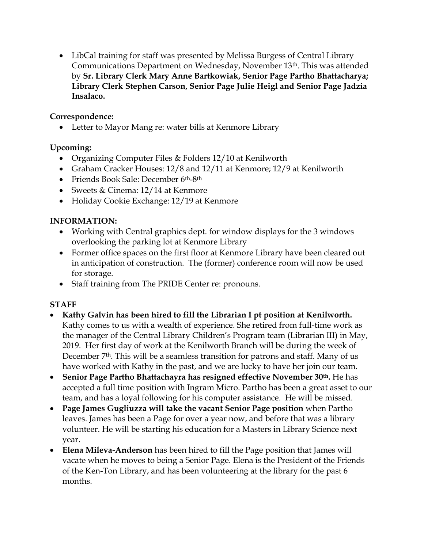LibCal training for staff was presented by Melissa Burgess of Central Library Communications Department on Wednesday, November 13th. This was attended by **Sr. Library Clerk Mary Anne Bartkowiak, Senior Page Partho Bhattacharya; Library Clerk Stephen Carson, Senior Page Julie Heigl and Senior Page Jadzia Insalaco.**

# **Correspondence:**

• Letter to Mayor Mang re: water bills at Kenmore Library

# **Upcoming:**

- Organizing Computer Files & Folders 12/10 at Kenilworth
- Graham Cracker Houses: 12/8 and 12/11 at Kenmore; 12/9 at Kenilworth
- Friends Book Sale: December 6th-8th
- Sweets & Cinema: 12/14 at Kenmore
- Holiday Cookie Exchange: 12/19 at Kenmore

# **INFORMATION:**

- Working with Central graphics dept. for window displays for the 3 windows overlooking the parking lot at Kenmore Library
- Former office spaces on the first floor at Kenmore Library have been cleared out in anticipation of construction. The (former) conference room will now be used for storage.
- Staff training from The PRIDE Center re: pronouns.

# **STAFF**

- **Kathy Galvin has been hired to fill the Librarian I pt position at Kenilworth.**  Kathy comes to us with a wealth of experience. She retired from full-time work as the manager of the Central Library Children's Program team (Librarian III) in May, 2019. Her first day of work at the Kenilworth Branch will be during the week of December 7<sup>th</sup>. This will be a seamless transition for patrons and staff. Many of us have worked with Kathy in the past, and we are lucky to have her join our team.
- **Senior Page Partho Bhattachayra has resigned effective November 30th.** He has accepted a full time position with Ingram Micro. Partho has been a great asset to our team, and has a loyal following for his computer assistance. He will be missed.
- **Page James Gugliuzza will take the vacant Senior Page position** when Partho leaves. James has been a Page for over a year now, and before that was a library volunteer. He will be starting his education for a Masters in Library Science next year.
- **Elena Mileva-Anderson** has been hired to fill the Page position that James will vacate when he moves to being a Senior Page. Elena is the President of the Friends of the Ken-Ton Library, and has been volunteering at the library for the past 6 months.